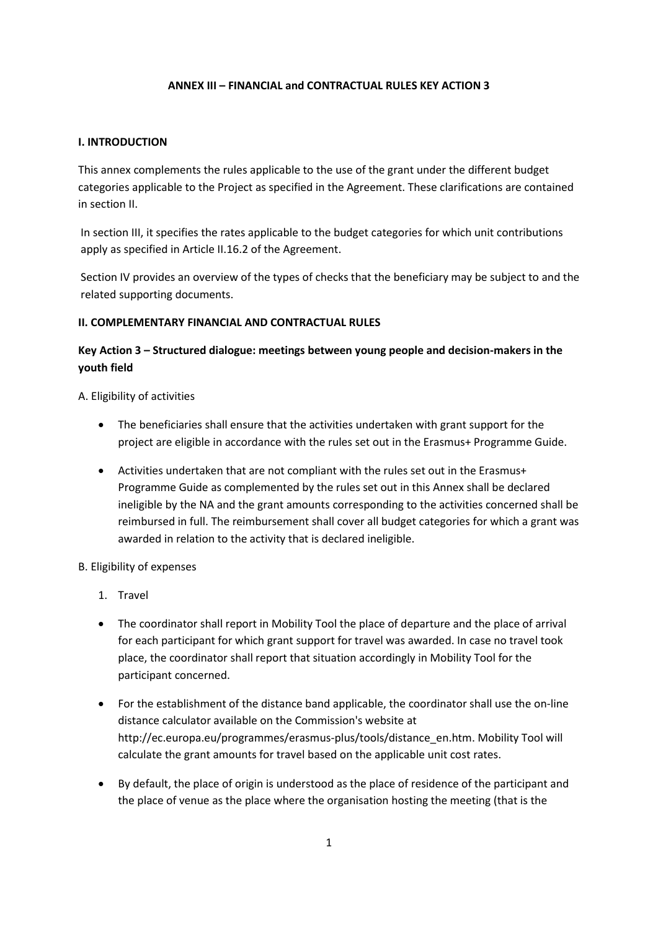### **ANNEX III – FINANCIAL and CONTRACTUAL RULES KEY ACTION 3**

#### **I. INTRODUCTION**

This annex complements the rules applicable to the use of the grant under the different budget categories applicable to the Project as specified in the Agreement. These clarifications are contained in section II.

In section III, it specifies the rates applicable to the budget categories for which unit contributions apply as specified in Article II.16.2 of the Agreement.

Section IV provides an overview of the types of checks that the beneficiary may be subject to and the related supporting documents.

#### **II. COMPLEMENTARY FINANCIAL AND CONTRACTUAL RULES**

# **Key Action 3 – Structured dialogue: meetings between young people and decision-makers in the youth field**

A. Eligibility of activities

- The beneficiaries shall ensure that the activities undertaken with grant support for the project are eligible in accordance with the rules set out in the Erasmus+ Programme Guide.
- Activities undertaken that are not compliant with the rules set out in the Erasmus+ Programme Guide as complemented by the rules set out in this Annex shall be declared ineligible by the NA and the grant amounts corresponding to the activities concerned shall be reimbursed in full. The reimbursement shall cover all budget categories for which a grant was awarded in relation to the activity that is declared ineligible.

#### B. Eligibility of expenses

- 1. Travel
- The coordinator shall report in Mobility Tool the place of departure and the place of arrival for each participant for which grant support for travel was awarded. In case no travel took place, the coordinator shall report that situation accordingly in Mobility Tool for the participant concerned.
- For the establishment of the distance band applicable, the coordinator shall use the on-line distance calculator available on the Commission's website at http://ec.europa.eu/programmes/erasmus-plus/tools/distance\_en.htm. Mobility Tool will calculate the grant amounts for travel based on the applicable unit cost rates.
- By default, the place of origin is understood as the place of residence of the participant and the place of venue as the place where the organisation hosting the meeting (that is the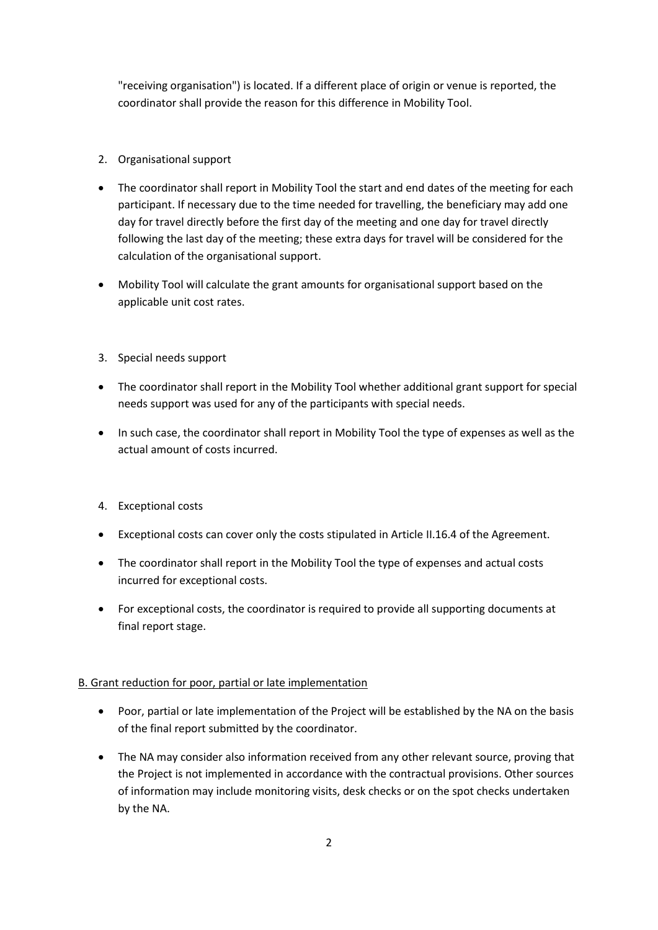"receiving organisation") is located. If a different place of origin or venue is reported, the coordinator shall provide the reason for this difference in Mobility Tool.

- 2. Organisational support
- The coordinator shall report in Mobility Tool the start and end dates of the meeting for each participant. If necessary due to the time needed for travelling, the beneficiary may add one day for travel directly before the first day of the meeting and one day for travel directly following the last day of the meeting; these extra days for travel will be considered for the calculation of the organisational support.
- Mobility Tool will calculate the grant amounts for organisational support based on the applicable unit cost rates.
- 3. Special needs support
- The coordinator shall report in the Mobility Tool whether additional grant support for special needs support was used for any of the participants with special needs.
- In such case, the coordinator shall report in Mobility Tool the type of expenses as well as the actual amount of costs incurred.
- 4. Exceptional costs
- Exceptional costs can cover only the costs stipulated in Article II.16.4 of the Agreement.
- The coordinator shall report in the Mobility Tool the type of expenses and actual costs incurred for exceptional costs.
- For exceptional costs, the coordinator is required to provide all supporting documents at final report stage.

# B. Grant reduction for poor, partial or late implementation

- Poor, partial or late implementation of the Project will be established by the NA on the basis of the final report submitted by the coordinator.
- The NA may consider also information received from any other relevant source, proving that the Project is not implemented in accordance with the contractual provisions. Other sources of information may include monitoring visits, desk checks or on the spot checks undertaken by the NA.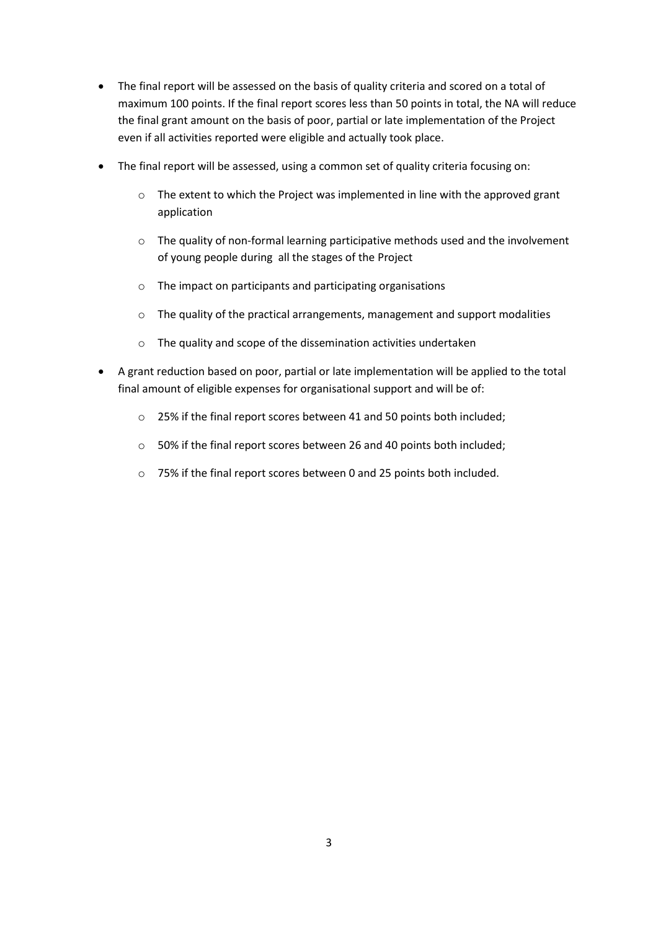- The final report will be assessed on the basis of quality criteria and scored on a total of maximum 100 points. If the final report scores less than 50 points in total, the NA will reduce the final grant amount on the basis of poor, partial or late implementation of the Project even if all activities reported were eligible and actually took place.
- The final report will be assessed, using a common set of quality criteria focusing on:
	- $\circ$  The extent to which the Project was implemented in line with the approved grant application
	- $\circ$  The quality of non-formal learning participative methods used and the involvement of young people during all the stages of the Project
	- o The impact on participants and participating organisations
	- o The quality of the practical arrangements, management and support modalities
	- o The quality and scope of the dissemination activities undertaken
- A grant reduction based on poor, partial or late implementation will be applied to the total final amount of eligible expenses for organisational support and will be of:
	- o 25% if the final report scores between 41 and 50 points both included;
	- o 50% if the final report scores between 26 and 40 points both included;
	- o 75% if the final report scores between 0 and 25 points both included.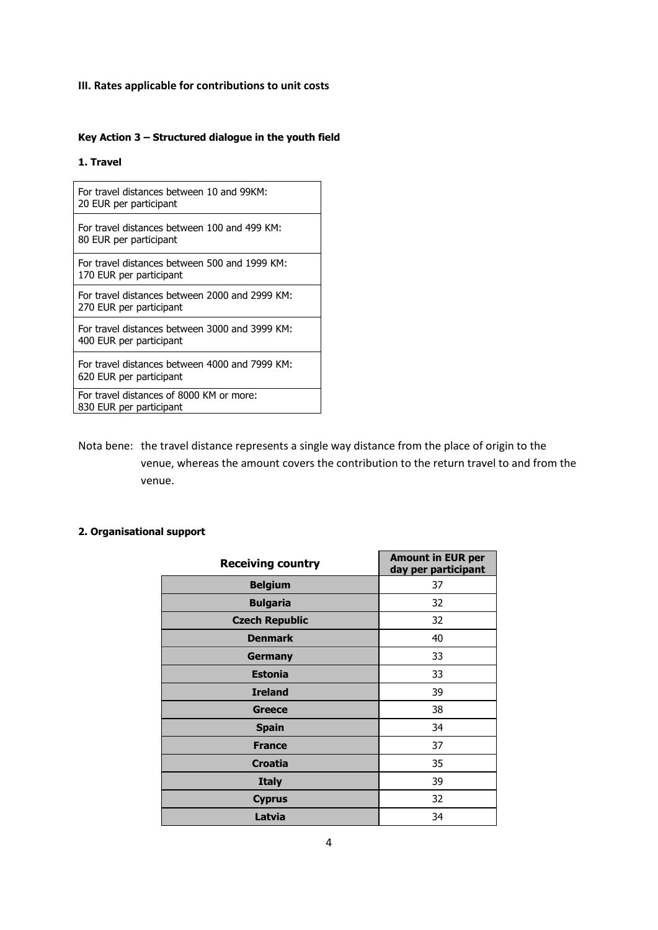# **III. Rates applicable for contributions to unit costs**

# **Key Action 3 – Structured dialogue in the youth field**

#### **1. Travel**

| For travel distances between 10 and 99KM:<br>20 EUR per participant       |
|---------------------------------------------------------------------------|
| For travel distances between 100 and 499 KM:<br>80 EUR per participant    |
| For travel distances between 500 and 1999 KM:<br>170 EUR per participant  |
| For travel distances between 2000 and 2999 KM:<br>270 EUR per participant |
| For travel distances between 3000 and 3999 KM:<br>400 EUR per participant |
| For travel distances between 4000 and 7999 KM:<br>620 EUR per participant |
| For travel distances of 8000 KM or more:<br>830 EUR per participant       |

Nota bene: the travel distance represents a single way distance from the place of origin to the venue, whereas the amount covers the contribution to the return travel to and from the venue.

### **2. Organisational support**

| <b>Receiving country</b> | <b>Amount in EUR per</b><br>day per participant |
|--------------------------|-------------------------------------------------|
| <b>Belgium</b>           | 37                                              |
| <b>Bulgaria</b>          | 32                                              |
| <b>Czech Republic</b>    | 32                                              |
| <b>Denmark</b>           | 40                                              |
| Germany                  | 33                                              |
| <b>Estonia</b>           | 33                                              |
| <b>Ireland</b>           | 39                                              |
| Greece                   | 38                                              |
| <b>Spain</b>             | 34                                              |
| <b>France</b>            | 37                                              |
| <b>Croatia</b>           | 35                                              |
| <b>Italy</b>             | 39                                              |
| <b>Cyprus</b>            | 32                                              |
| Latvia                   | 34                                              |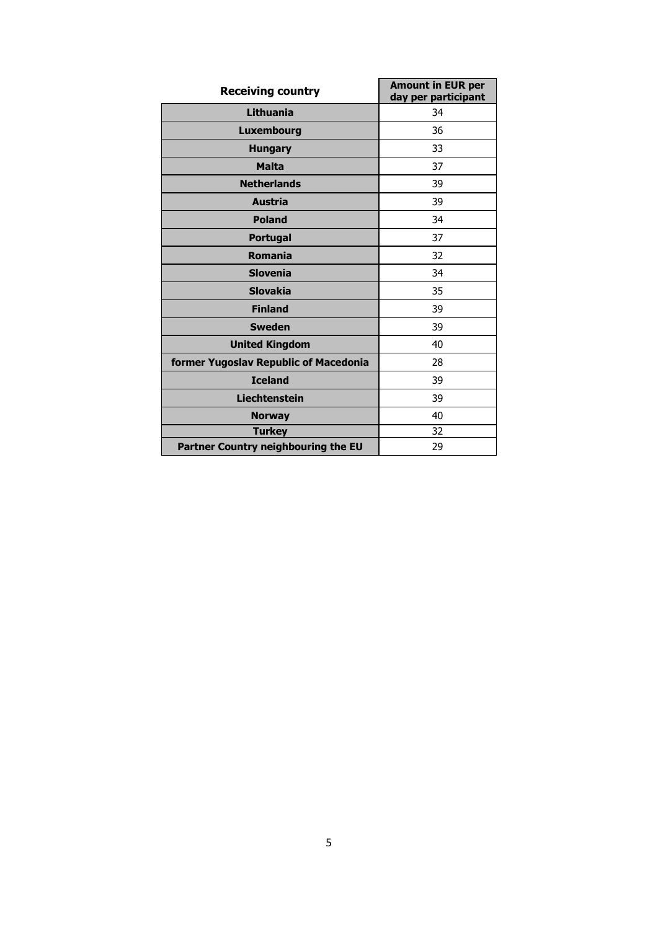| <b>Receiving country</b>              | <b>Amount in EUR per</b><br>day per participant |
|---------------------------------------|-------------------------------------------------|
| Lithuania                             | 34                                              |
| <b>Luxembourg</b>                     | 36                                              |
| <b>Hungary</b>                        | 33                                              |
| <b>Malta</b>                          | 37                                              |
| <b>Netherlands</b>                    | 39                                              |
| <b>Austria</b>                        | 39                                              |
| <b>Poland</b>                         | 34                                              |
| <b>Portugal</b>                       | 37                                              |
| <b>Romania</b>                        | 32                                              |
| <b>Slovenia</b>                       | 34                                              |
| <b>Slovakia</b>                       | 35                                              |
| <b>Finland</b>                        | 39                                              |
| <b>Sweden</b>                         | 39                                              |
| <b>United Kingdom</b>                 | 40                                              |
| former Yugoslav Republic of Macedonia | 28                                              |
| <b>Iceland</b>                        | 39                                              |
| <b>Liechtenstein</b>                  | 39                                              |
| <b>Norway</b>                         | 40                                              |
| <b>Turkey</b>                         | 32                                              |
| Partner Country neighbouring the EU   | 29                                              |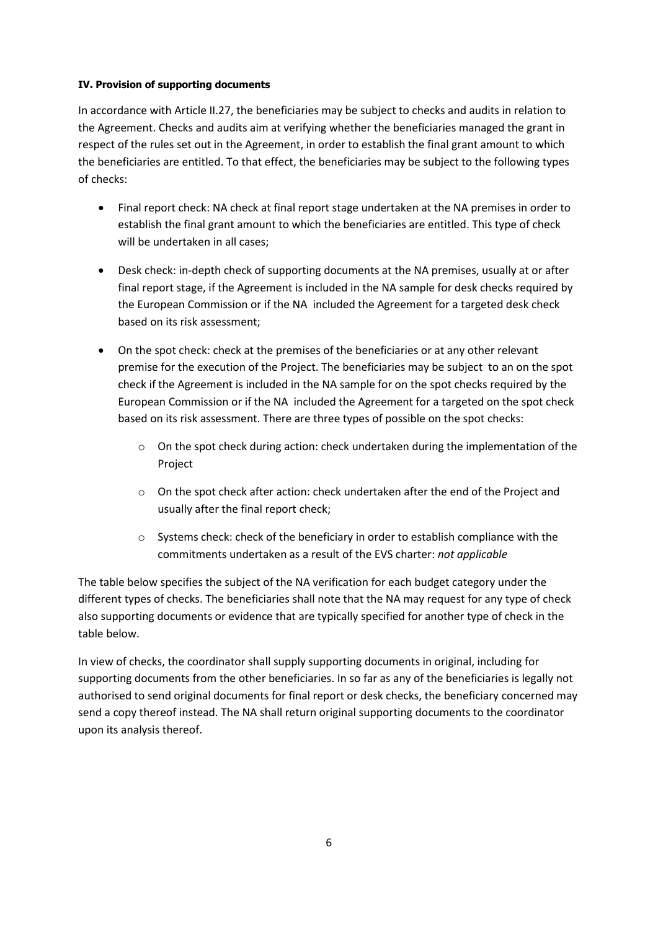## **IV. Provision of supporting documents**

In accordance with Article II.27, the beneficiaries may be subject to checks and audits in relation to the Agreement. Checks and audits aim at verifying whether the beneficiaries managed the grant in respect of the rules set out in the Agreement, in order to establish the final grant amount to which the beneficiaries are entitled. To that effect, the beneficiaries may be subject to the following types of checks:

- Final report check: NA check at final report stage undertaken at the NA premises in order to establish the final grant amount to which the beneficiaries are entitled. This type of check will be undertaken in all cases:
- Desk check: in-depth check of supporting documents at the NA premises, usually at or after final report stage, if the Agreement is included in the NA sample for desk checks required by the European Commission or if the NA included the Agreement for a targeted desk check based on its risk assessment;
- On the spot check: check at the premises of the beneficiaries or at any other relevant premise for the execution of the Project. The beneficiaries may be subject to an on the spot check if the Agreement is included in the NA sample for on the spot checks required by the European Commission or if the NA included the Agreement for a targeted on the spot check based on its risk assessment. There are three types of possible on the spot checks:
	- $\circ$  On the spot check during action: check undertaken during the implementation of the Project
	- o On the spot check after action: check undertaken after the end of the Project and usually after the final report check;
	- $\circ$  Systems check: check of the beneficiary in order to establish compliance with the commitments undertaken as a result of the EVS charter: *not applicable*

The table below specifies the subject of the NA verification for each budget category under the different types of checks. The beneficiaries shall note that the NA may request for any type of check also supporting documents or evidence that are typically specified for another type of check in the table below.

In view of checks, the coordinator shall supply supporting documents in original, including for supporting documents from the other beneficiaries. In so far as any of the beneficiaries is legally not authorised to send original documents for final report or desk checks, the beneficiary concerned may send a copy thereof instead. The NA shall return original supporting documents to the coordinator upon its analysis thereof.